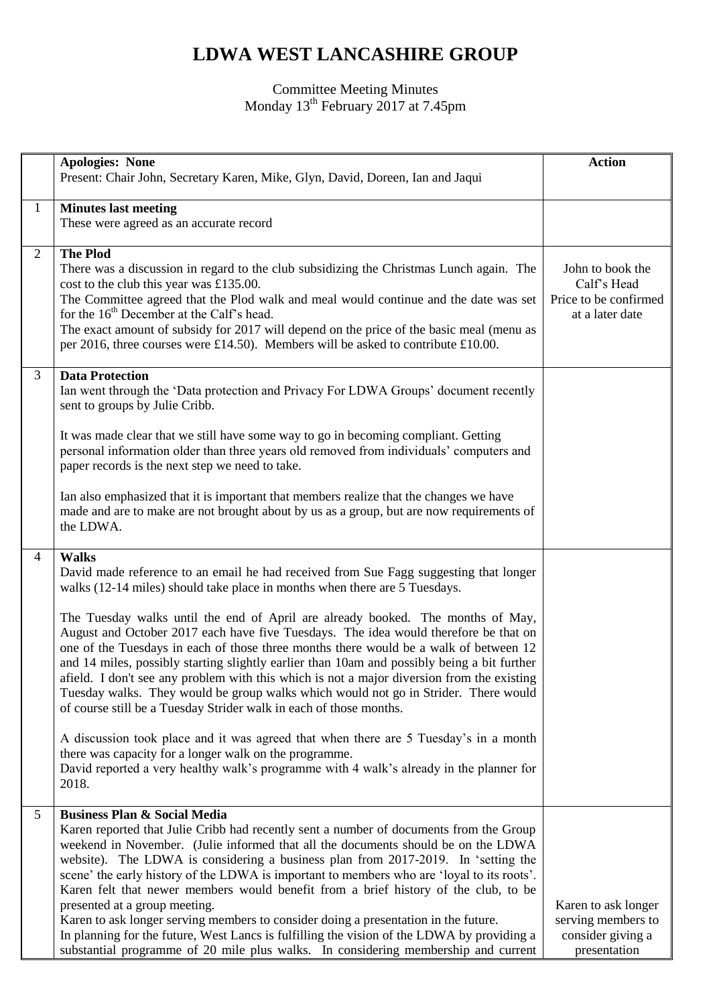## **LDWA WEST LANCASHIRE GROUP**

## Committee Meeting Minutes Monday 13<sup>th</sup> February 2017 at 7.45pm

|                 | <b>Apologies: None</b><br>Present: Chair John, Secretary Karen, Mike, Glyn, David, Doreen, Ian and Jaqui                                                                                                                                                                                                                                                                                                                                                                                                                                                                                                                                                                                                                                                                                                     | <b>Action</b>                                                                  |
|-----------------|--------------------------------------------------------------------------------------------------------------------------------------------------------------------------------------------------------------------------------------------------------------------------------------------------------------------------------------------------------------------------------------------------------------------------------------------------------------------------------------------------------------------------------------------------------------------------------------------------------------------------------------------------------------------------------------------------------------------------------------------------------------------------------------------------------------|--------------------------------------------------------------------------------|
| $\mathbf{1}$    | <b>Minutes last meeting</b><br>These were agreed as an accurate record                                                                                                                                                                                                                                                                                                                                                                                                                                                                                                                                                                                                                                                                                                                                       |                                                                                |
| $\overline{2}$  | <b>The Plod</b><br>There was a discussion in regard to the club subsidizing the Christmas Lunch again. The<br>cost to the club this year was £135.00.<br>The Committee agreed that the Plod walk and meal would continue and the date was set<br>for the 16 <sup>th</sup> December at the Calf's head.<br>The exact amount of subsidy for 2017 will depend on the price of the basic meal (menu as<br>per 2016, three courses were £14.50). Members will be asked to contribute £10.00.                                                                                                                                                                                                                                                                                                                      | John to book the<br>Calf's Head<br>Price to be confirmed<br>at a later date    |
| $\mathfrak{Z}$  | <b>Data Protection</b><br>Ian went through the 'Data protection and Privacy For LDWA Groups' document recently<br>sent to groups by Julie Cribb.                                                                                                                                                                                                                                                                                                                                                                                                                                                                                                                                                                                                                                                             |                                                                                |
|                 | It was made clear that we still have some way to go in becoming compliant. Getting<br>personal information older than three years old removed from individuals' computers and<br>paper records is the next step we need to take.                                                                                                                                                                                                                                                                                                                                                                                                                                                                                                                                                                             |                                                                                |
|                 | Ian also emphasized that it is important that members realize that the changes we have<br>made and are to make are not brought about by us as a group, but are now requirements of<br>the LDWA.                                                                                                                                                                                                                                                                                                                                                                                                                                                                                                                                                                                                              |                                                                                |
| $\overline{4}$  | <b>Walks</b><br>David made reference to an email he had received from Sue Fagg suggesting that longer<br>walks (12-14 miles) should take place in months when there are 5 Tuesdays.                                                                                                                                                                                                                                                                                                                                                                                                                                                                                                                                                                                                                          |                                                                                |
|                 | The Tuesday walks until the end of April are already booked. The months of May,<br>August and October 2017 each have five Tuesdays. The idea would therefore be that on<br>one of the Tuesdays in each of those three months there would be a walk of between 12<br>and 14 miles, possibly starting slightly earlier than 10am and possibly being a bit further<br>afield. I don't see any problem with this which is not a major diversion from the existing<br>Tuesday walks. They would be group walks which would not go in Strider. There would<br>of course still be a Tuesday Strider walk in each of those months.                                                                                                                                                                                   |                                                                                |
|                 | A discussion took place and it was agreed that when there are 5 Tuesday's in a month<br>there was capacity for a longer walk on the programme.<br>David reported a very healthy walk's programme with 4 walk's already in the planner for<br>2018.                                                                                                                                                                                                                                                                                                                                                                                                                                                                                                                                                           |                                                                                |
| $5\overline{)}$ | <b>Business Plan &amp; Social Media</b><br>Karen reported that Julie Cribb had recently sent a number of documents from the Group<br>weekend in November. (Julie informed that all the documents should be on the LDWA<br>website). The LDWA is considering a business plan from 2017-2019. In 'setting the<br>scene' the early history of the LDWA is important to members who are 'loyal to its roots'.<br>Karen felt that newer members would benefit from a brief history of the club, to be<br>presented at a group meeting.<br>Karen to ask longer serving members to consider doing a presentation in the future.<br>In planning for the future, West Lancs is fulfilling the vision of the LDWA by providing a<br>substantial programme of 20 mile plus walks. In considering membership and current | Karen to ask longer<br>serving members to<br>consider giving a<br>presentation |